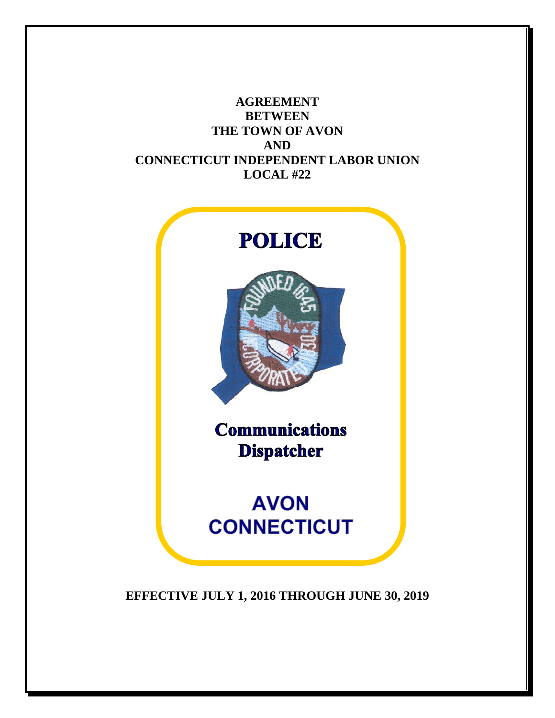**AGREEMENT BETWEEN THE TOWN OF AVON AND CONNECTICUT INDEPENDENT LABOR UNION LOCAL #22**



**EFFECTIVE JULY 1, 2016 THROUGH JUNE 30, 2019**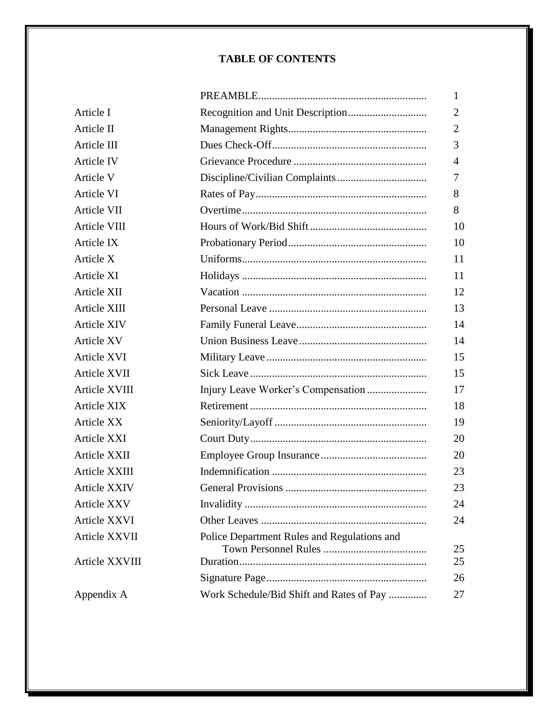### **TABLE OF CONTENTS**

|                     |                                             | 1        |
|---------------------|---------------------------------------------|----------|
| Article I           |                                             | 2        |
| Article II          |                                             | 2        |
| Article III         |                                             | 3        |
| Article IV          |                                             | 4        |
| Article V           |                                             | 7        |
| Article VI          |                                             | 8        |
| Article VII         |                                             | 8        |
| Article VIII        |                                             | 10       |
| Article IX          |                                             | 10       |
| Article X           |                                             | 11       |
| <b>Article XI</b>   |                                             | 11       |
| Article XII         |                                             | 12       |
| Article XIII        |                                             | 13       |
| <b>Article XIV</b>  |                                             | 14       |
| Article XV          |                                             | 14       |
| Article XVI         |                                             | 15       |
| Article XVII        |                                             | 15       |
| Article XVIII       |                                             | 17       |
| <b>Article XIX</b>  |                                             | 18       |
| <b>Article XX</b>   |                                             | 19       |
| Article XXI         |                                             | 20       |
| Article XXII        |                                             | 20       |
| Article XXIII       |                                             | 23       |
| <b>Article XXIV</b> |                                             | 23       |
| Article XXV         |                                             | 24       |
| Article XXVI        |                                             | 24       |
| Article XXVII       | Police Department Rules and Regulations and |          |
| Article XXVIII      |                                             | 25<br>25 |
|                     |                                             | 26       |
| Appendix A          | Work Schedule/Bid Shift and Rates of Pay    | 27       |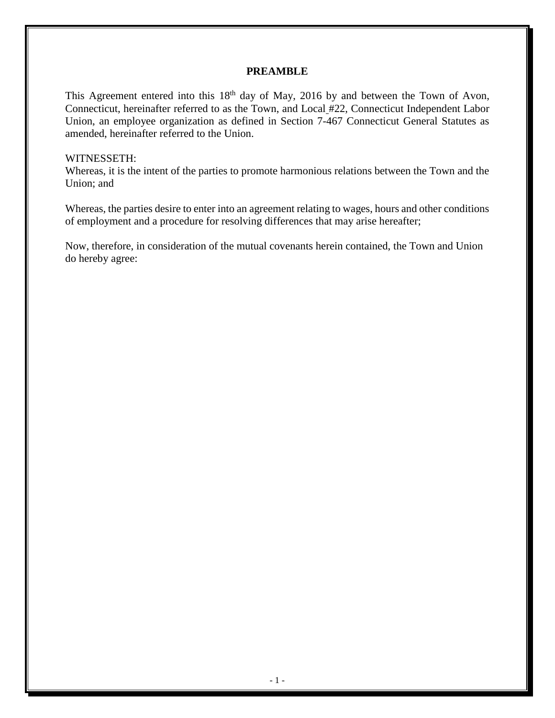#### **PREAMBLE**

This Agreement entered into this  $18<sup>th</sup>$  day of May, 2016 by and between the Town of Avon, Connecticut, hereinafter referred to as the Town, and Local #22, Connecticut Independent Labor Union, an employee organization as defined in Section 7-467 Connecticut General Statutes as amended, hereinafter referred to the Union.

#### WITNESSETH:

Whereas, it is the intent of the parties to promote harmonious relations between the Town and the Union; and

Whereas, the parties desire to enter into an agreement relating to wages, hours and other conditions of employment and a procedure for resolving differences that may arise hereafter;

Now, therefore, in consideration of the mutual covenants herein contained, the Town and Union do hereby agree: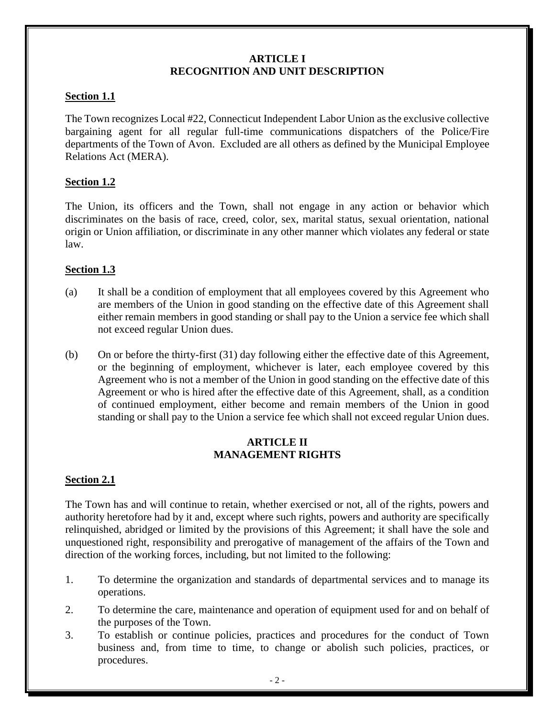## **ARTICLE I RECOGNITION AND UNIT DESCRIPTION**

## **Section 1.1**

The Town recognizes Local #22, Connecticut Independent Labor Union as the exclusive collective bargaining agent for all regular full-time communications dispatchers of the Police/Fire departments of the Town of Avon. Excluded are all others as defined by the Municipal Employee Relations Act (MERA).

## **Section 1.2**

The Union, its officers and the Town, shall not engage in any action or behavior which discriminates on the basis of race, creed, color, sex, marital status, sexual orientation, national origin or Union affiliation, or discriminate in any other manner which violates any federal or state law.

## **Section 1.3**

- (a) It shall be a condition of employment that all employees covered by this Agreement who are members of the Union in good standing on the effective date of this Agreement shall either remain members in good standing or shall pay to the Union a service fee which shall not exceed regular Union dues.
- (b) On or before the thirty-first (31) day following either the effective date of this Agreement, or the beginning of employment, whichever is later, each employee covered by this Agreement who is not a member of the Union in good standing on the effective date of this Agreement or who is hired after the effective date of this Agreement, shall, as a condition of continued employment, either become and remain members of the Union in good standing or shall pay to the Union a service fee which shall not exceed regular Union dues.

## **ARTICLE II MANAGEMENT RIGHTS**

### **Section 2.1**

The Town has and will continue to retain, whether exercised or not, all of the rights, powers and authority heretofore had by it and, except where such rights, powers and authority are specifically relinquished, abridged or limited by the provisions of this Agreement; it shall have the sole and unquestioned right, responsibility and prerogative of management of the affairs of the Town and direction of the working forces, including, but not limited to the following:

- 1. To determine the organization and standards of departmental services and to manage its operations.
- 2. To determine the care, maintenance and operation of equipment used for and on behalf of the purposes of the Town.
- 3. To establish or continue policies, practices and procedures for the conduct of Town business and, from time to time, to change or abolish such policies, practices, or procedures.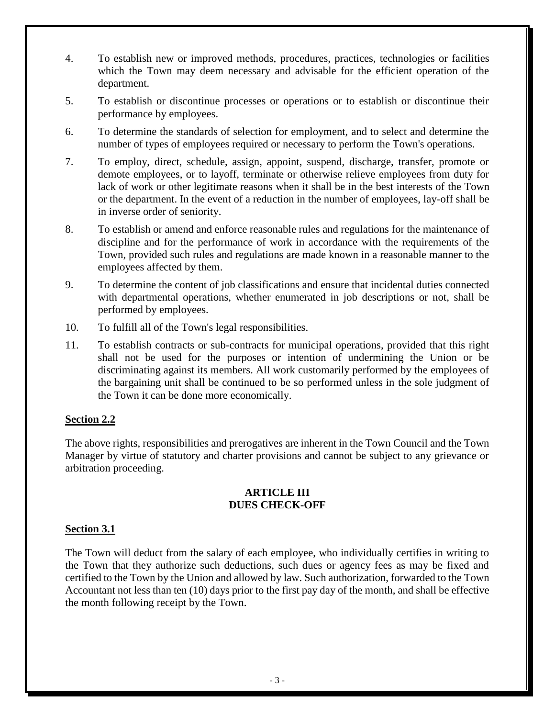- 4. To establish new or improved methods, procedures, practices, technologies or facilities which the Town may deem necessary and advisable for the efficient operation of the department.
- 5. To establish or discontinue processes or operations or to establish or discontinue their performance by employees.
- 6. To determine the standards of selection for employment, and to select and determine the number of types of employees required or necessary to perform the Town's operations.
- 7. To employ, direct, schedule, assign, appoint, suspend, discharge, transfer, promote or demote employees, or to layoff, terminate or otherwise relieve employees from duty for lack of work or other legitimate reasons when it shall be in the best interests of the Town or the department. In the event of a reduction in the number of employees, lay-off shall be in inverse order of seniority.
- 8. To establish or amend and enforce reasonable rules and regulations for the maintenance of discipline and for the performance of work in accordance with the requirements of the Town, provided such rules and regulations are made known in a reasonable manner to the employees affected by them.
- 9. To determine the content of job classifications and ensure that incidental duties connected with departmental operations, whether enumerated in job descriptions or not, shall be performed by employees.
- 10. To fulfill all of the Town's legal responsibilities.
- 11. To establish contracts or sub-contracts for municipal operations, provided that this right shall not be used for the purposes or intention of undermining the Union or be discriminating against its members. All work customarily performed by the employees of the bargaining unit shall be continued to be so performed unless in the sole judgment of the Town it can be done more economically.

## **Section 2.2**

The above rights, responsibilities and prerogatives are inherent in the Town Council and the Town Manager by virtue of statutory and charter provisions and cannot be subject to any grievance or arbitration proceeding.

### **ARTICLE III DUES CHECK-OFF**

### **Section 3.1**

The Town will deduct from the salary of each employee, who individually certifies in writing to the Town that they authorize such deductions, such dues or agency fees as may be fixed and certified to the Town by the Union and allowed by law. Such authorization, forwarded to the Town Accountant not less than ten (10) days prior to the first pay day of the month, and shall be effective the month following receipt by the Town.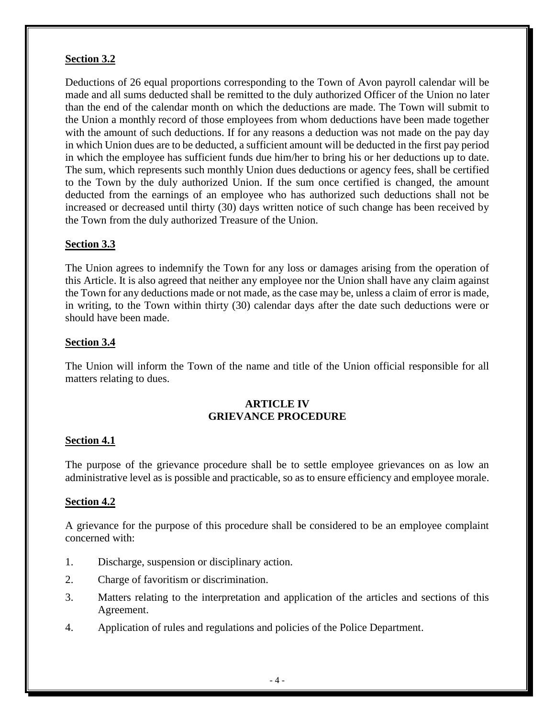## **Section 3.2**

Deductions of 26 equal proportions corresponding to the Town of Avon payroll calendar will be made and all sums deducted shall be remitted to the duly authorized Officer of the Union no later than the end of the calendar month on which the deductions are made. The Town will submit to the Union a monthly record of those employees from whom deductions have been made together with the amount of such deductions. If for any reasons a deduction was not made on the pay day in which Union dues are to be deducted, a sufficient amount will be deducted in the first pay period in which the employee has sufficient funds due him/her to bring his or her deductions up to date. The sum, which represents such monthly Union dues deductions or agency fees, shall be certified to the Town by the duly authorized Union. If the sum once certified is changed, the amount deducted from the earnings of an employee who has authorized such deductions shall not be increased or decreased until thirty (30) days written notice of such change has been received by the Town from the duly authorized Treasure of the Union.

## **Section 3.3**

The Union agrees to indemnify the Town for any loss or damages arising from the operation of this Article. It is also agreed that neither any employee nor the Union shall have any claim against the Town for any deductions made or not made, as the case may be, unless a claim of error is made, in writing, to the Town within thirty (30) calendar days after the date such deductions were or should have been made.

## **Section 3.4**

The Union will inform the Town of the name and title of the Union official responsible for all matters relating to dues.

## **ARTICLE IV GRIEVANCE PROCEDURE**

### **Section 4.1**

The purpose of the grievance procedure shall be to settle employee grievances on as low an administrative level as is possible and practicable, so as to ensure efficiency and employee morale.

### **Section 4.2**

A grievance for the purpose of this procedure shall be considered to be an employee complaint concerned with:

- 1. Discharge, suspension or disciplinary action.
- 2. Charge of favoritism or discrimination.
- 3. Matters relating to the interpretation and application of the articles and sections of this Agreement.
- 4. Application of rules and regulations and policies of the Police Department.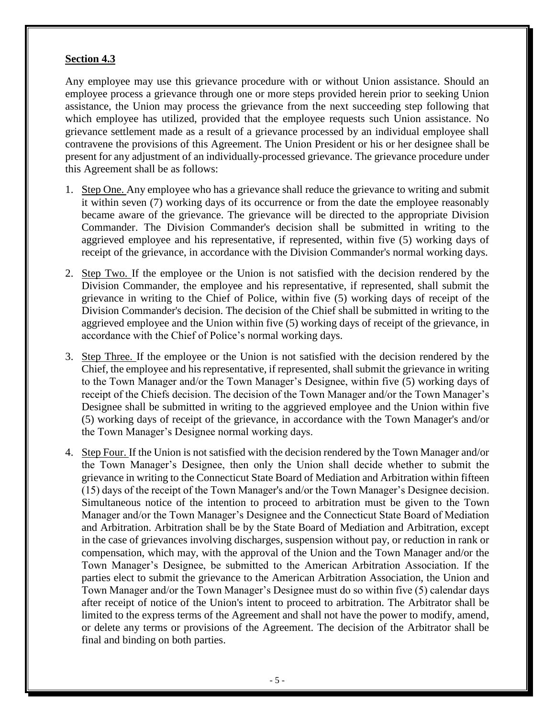### **Section 4.3**

Any employee may use this grievance procedure with or without Union assistance. Should an employee process a grievance through one or more steps provided herein prior to seeking Union assistance, the Union may process the grievance from the next succeeding step following that which employee has utilized, provided that the employee requests such Union assistance. No grievance settlement made as a result of a grievance processed by an individual employee shall contravene the provisions of this Agreement. The Union President or his or her designee shall be present for any adjustment of an individually-processed grievance. The grievance procedure under this Agreement shall be as follows:

- 1. Step One. Any employee who has a grievance shall reduce the grievance to writing and submit it within seven (7) working days of its occurrence or from the date the employee reasonably became aware of the grievance. The grievance will be directed to the appropriate Division Commander. The Division Commander's decision shall be submitted in writing to the aggrieved employee and his representative, if represented, within five (5) working days of receipt of the grievance, in accordance with the Division Commander's normal working days.
- 2. Step Two. If the employee or the Union is not satisfied with the decision rendered by the Division Commander, the employee and his representative, if represented, shall submit the grievance in writing to the Chief of Police, within five (5) working days of receipt of the Division Commander's decision. The decision of the Chief shall be submitted in writing to the aggrieved employee and the Union within five (5) working days of receipt of the grievance, in accordance with the Chief of Police's normal working days.
- 3. Step Three. If the employee or the Union is not satisfied with the decision rendered by the Chief, the employee and his representative, if represented, shall submit the grievance in writing to the Town Manager and/or the Town Manager's Designee, within five (5) working days of receipt of the Chiefs decision. The decision of the Town Manager and/or the Town Manager's Designee shall be submitted in writing to the aggrieved employee and the Union within five (5) working days of receipt of the grievance, in accordance with the Town Manager's and/or the Town Manager's Designee normal working days.
- 4. Step Four. If the Union is not satisfied with the decision rendered by the Town Manager and/or the Town Manager's Designee, then only the Union shall decide whether to submit the grievance in writing to the Connecticut State Board of Mediation and Arbitration within fifteen (15) days of the receipt of the Town Manager's and/or the Town Manager's Designee decision. Simultaneous notice of the intention to proceed to arbitration must be given to the Town Manager and/or the Town Manager's Designee and the Connecticut State Board of Mediation and Arbitration. Arbitration shall be by the State Board of Mediation and Arbitration, except in the case of grievances involving discharges, suspension without pay, or reduction in rank or compensation, which may, with the approval of the Union and the Town Manager and/or the Town Manager's Designee, be submitted to the American Arbitration Association. If the parties elect to submit the grievance to the American Arbitration Association, the Union and Town Manager and/or the Town Manager's Designee must do so within five (5) calendar days after receipt of notice of the Union's intent to proceed to arbitration. The Arbitrator shall be limited to the express terms of the Agreement and shall not have the power to modify, amend, or delete any terms or provisions of the Agreement. The decision of the Arbitrator shall be final and binding on both parties.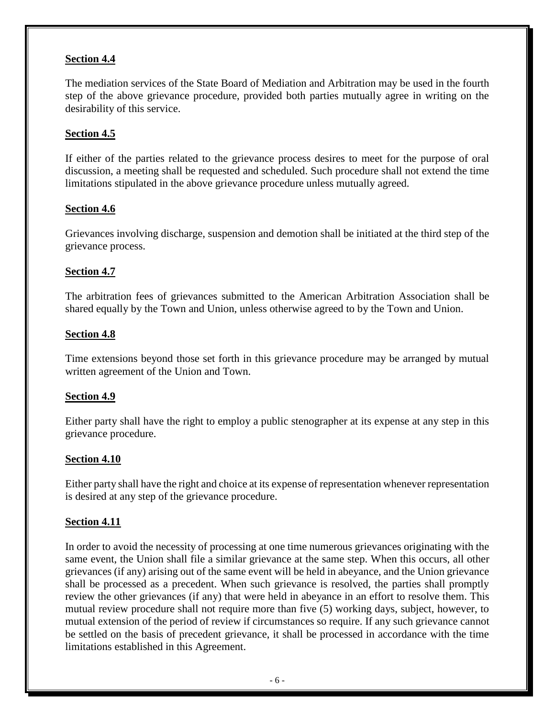## **Section 4.4**

The mediation services of the State Board of Mediation and Arbitration may be used in the fourth step of the above grievance procedure, provided both parties mutually agree in writing on the desirability of this service.

## **Section 4.5**

If either of the parties related to the grievance process desires to meet for the purpose of oral discussion, a meeting shall be requested and scheduled. Such procedure shall not extend the time limitations stipulated in the above grievance procedure unless mutually agreed.

## **Section 4.6**

Grievances involving discharge, suspension and demotion shall be initiated at the third step of the grievance process.

## **Section 4.7**

The arbitration fees of grievances submitted to the American Arbitration Association shall be shared equally by the Town and Union, unless otherwise agreed to by the Town and Union.

### **Section 4.8**

Time extensions beyond those set forth in this grievance procedure may be arranged by mutual written agreement of the Union and Town.

### **Section 4.9**

Either party shall have the right to employ a public stenographer at its expense at any step in this grievance procedure.

### **Section 4.10**

Either party shall have the right and choice at its expense of representation whenever representation is desired at any step of the grievance procedure.

### **Section 4.11**

In order to avoid the necessity of processing at one time numerous grievances originating with the same event, the Union shall file a similar grievance at the same step. When this occurs, all other grievances (if any) arising out of the same event will be held in abeyance, and the Union grievance shall be processed as a precedent. When such grievance is resolved, the parties shall promptly review the other grievances (if any) that were held in abeyance in an effort to resolve them. This mutual review procedure shall not require more than five (5) working days, subject, however, to mutual extension of the period of review if circumstances so require. If any such grievance cannot be settled on the basis of precedent grievance, it shall be processed in accordance with the time limitations established in this Agreement.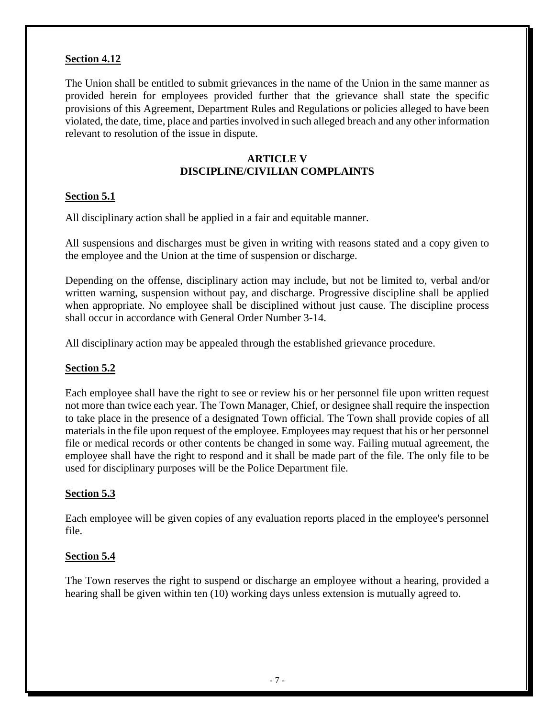## **Section 4.12**

The Union shall be entitled to submit grievances in the name of the Union in the same manner as provided herein for employees provided further that the grievance shall state the specific provisions of this Agreement, Department Rules and Regulations or policies alleged to have been violated, the date, time, place and parties involved in such alleged breach and any other information relevant to resolution of the issue in dispute.

## **ARTICLE V DISCIPLINE/CIVILIAN COMPLAINTS**

## **Section 5.1**

All disciplinary action shall be applied in a fair and equitable manner.

All suspensions and discharges must be given in writing with reasons stated and a copy given to the employee and the Union at the time of suspension or discharge.

Depending on the offense, disciplinary action may include, but not be limited to, verbal and/or written warning, suspension without pay, and discharge. Progressive discipline shall be applied when appropriate. No employee shall be disciplined without just cause. The discipline process shall occur in accordance with General Order Number 3-14.

All disciplinary action may be appealed through the established grievance procedure.

## **Section 5.2**

Each employee shall have the right to see or review his or her personnel file upon written request not more than twice each year. The Town Manager, Chief, or designee shall require the inspection to take place in the presence of a designated Town official. The Town shall provide copies of all materials in the file upon request of the employee. Employees may request that his or her personnel file or medical records or other contents be changed in some way. Failing mutual agreement, the employee shall have the right to respond and it shall be made part of the file. The only file to be used for disciplinary purposes will be the Police Department file.

## **Section 5.3**

Each employee will be given copies of any evaluation reports placed in the employee's personnel file.

### **Section 5.4**

The Town reserves the right to suspend or discharge an employee without a hearing, provided a hearing shall be given within ten (10) working days unless extension is mutually agreed to.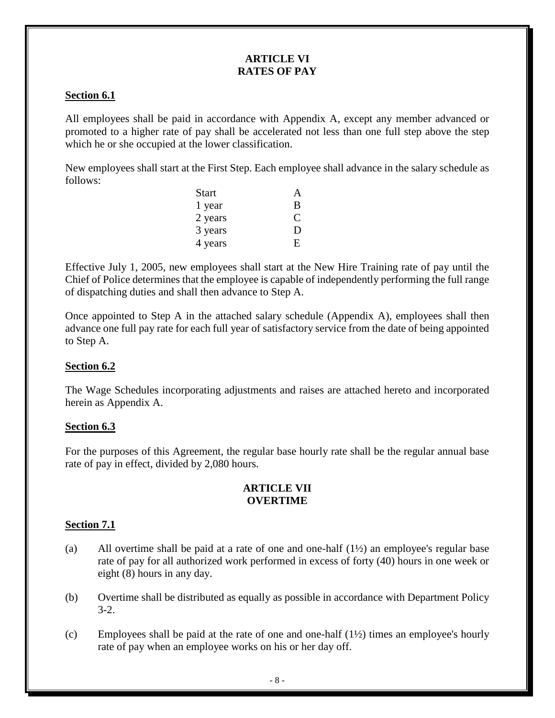### **ARTICLE VI RATES OF PAY**

## **Section 6.1**

All employees shall be paid in accordance with Appendix A, except any member advanced or promoted to a higher rate of pay shall be accelerated not less than one full step above the step which he or she occupied at the lower classification.

New employees shall start at the First Step. Each employee shall advance in the salary schedule as follows:

| <b>Start</b> | A |
|--------------|---|
| 1 year       | В |
| 2 years      |   |
| 3 years      | Ð |
| 4 years      | F |

Effective July 1, 2005, new employees shall start at the New Hire Training rate of pay until the Chief of Police determines that the employee is capable of independently performing the full range of dispatching duties and shall then advance to Step A.

Once appointed to Step A in the attached salary schedule (Appendix A), employees shall then advance one full pay rate for each full year of satisfactory service from the date of being appointed to Step A.

### **Section 6.2**

The Wage Schedules incorporating adjustments and raises are attached hereto and incorporated herein as Appendix A.

### **Section 6.3**

For the purposes of this Agreement, the regular base hourly rate shall be the regular annual base rate of pay in effect, divided by 2,080 hours.

### **ARTICLE VII OVERTIME**

### **Section 7.1**

- (a) All overtime shall be paid at a rate of one and one-half (1½) an employee's regular base rate of pay for all authorized work performed in excess of forty (40) hours in one week or eight (8) hours in any day.
- (b) Overtime shall be distributed as equally as possible in accordance with Department Policy 3-2.
- (c) Employees shall be paid at the rate of one and one-half  $(1/2)$  times an employee's hourly rate of pay when an employee works on his or her day off.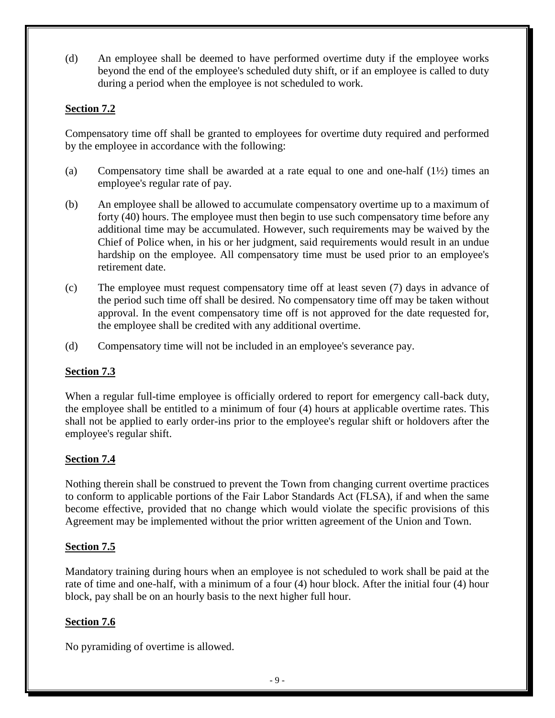(d) An employee shall be deemed to have performed overtime duty if the employee works beyond the end of the employee's scheduled duty shift, or if an employee is called to duty during a period when the employee is not scheduled to work.

## **Section 7.2**

Compensatory time off shall be granted to employees for overtime duty required and performed by the employee in accordance with the following:

- (a) Compensatory time shall be awarded at a rate equal to one and one-half  $(1/2)$  times an employee's regular rate of pay.
- (b) An employee shall be allowed to accumulate compensatory overtime up to a maximum of forty (40) hours. The employee must then begin to use such compensatory time before any additional time may be accumulated. However, such requirements may be waived by the Chief of Police when, in his or her judgment, said requirements would result in an undue hardship on the employee. All compensatory time must be used prior to an employee's retirement date.
- (c) The employee must request compensatory time off at least seven (7) days in advance of the period such time off shall be desired. No compensatory time off may be taken without approval. In the event compensatory time off is not approved for the date requested for, the employee shall be credited with any additional overtime.
- (d) Compensatory time will not be included in an employee's severance pay.

## **Section 7.3**

When a regular full-time employee is officially ordered to report for emergency call-back duty, the employee shall be entitled to a minimum of four (4) hours at applicable overtime rates. This shall not be applied to early order-ins prior to the employee's regular shift or holdovers after the employee's regular shift.

## **Section 7.4**

Nothing therein shall be construed to prevent the Town from changing current overtime practices to conform to applicable portions of the Fair Labor Standards Act (FLSA), if and when the same become effective, provided that no change which would violate the specific provisions of this Agreement may be implemented without the prior written agreement of the Union and Town.

## **Section 7.5**

Mandatory training during hours when an employee is not scheduled to work shall be paid at the rate of time and one-half, with a minimum of a four (4) hour block. After the initial four (4) hour block, pay shall be on an hourly basis to the next higher full hour.

## **Section 7.6**

No pyramiding of overtime is allowed.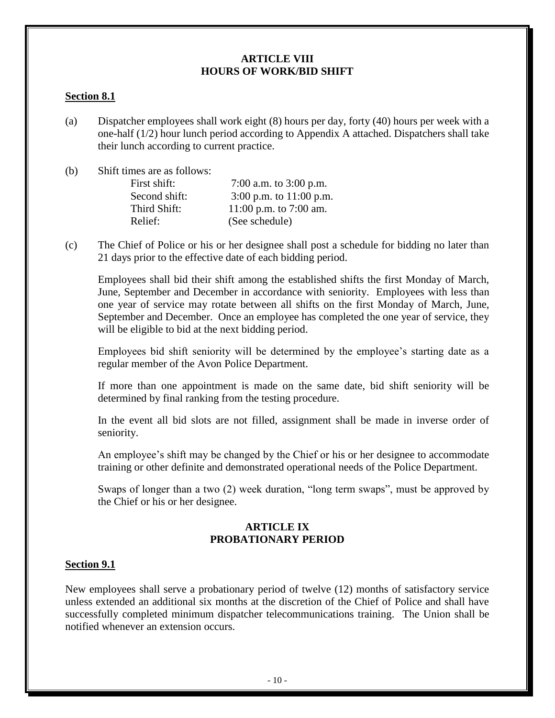#### **ARTICLE VIII HOURS OF WORK/BID SHIFT**

### **Section 8.1**

(a) Dispatcher employees shall work eight (8) hours per day, forty (40) hours per week with a one-half (1/2) hour lunch period according to Appendix A attached. Dispatchers shall take their lunch according to current practice.

(b) Shift times are as follows:

| First shift:  | 7:00 a.m. to $3:00$ p.m.  |
|---------------|---------------------------|
| Second shift: | 3:00 p.m. to $11:00$ p.m. |
| Third Shift:  | 11:00 p.m. to 7:00 am.    |
| Relief:       | (See schedule)            |

(c) The Chief of Police or his or her designee shall post a schedule for bidding no later than 21 days prior to the effective date of each bidding period.

Employees shall bid their shift among the established shifts the first Monday of March, June, September and December in accordance with seniority. Employees with less than one year of service may rotate between all shifts on the first Monday of March, June, September and December. Once an employee has completed the one year of service, they will be eligible to bid at the next bidding period.

Employees bid shift seniority will be determined by the employee's starting date as a regular member of the Avon Police Department.

If more than one appointment is made on the same date, bid shift seniority will be determined by final ranking from the testing procedure.

In the event all bid slots are not filled, assignment shall be made in inverse order of seniority.

An employee's shift may be changed by the Chief or his or her designee to accommodate training or other definite and demonstrated operational needs of the Police Department.

Swaps of longer than a two (2) week duration, "long term swaps", must be approved by the Chief or his or her designee.

### **ARTICLE IX PROBATIONARY PERIOD**

#### **Section 9.1**

New employees shall serve a probationary period of twelve (12) months of satisfactory service unless extended an additional six months at the discretion of the Chief of Police and shall have successfully completed minimum dispatcher telecommunications training. The Union shall be notified whenever an extension occurs.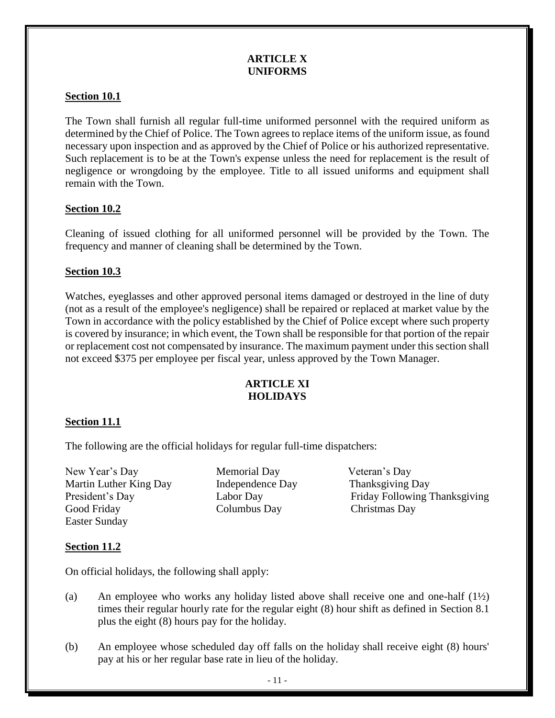### **ARTICLE X UNIFORMS**

## **Section 10.1**

The Town shall furnish all regular full-time uniformed personnel with the required uniform as determined by the Chief of Police. The Town agrees to replace items of the uniform issue, as found necessary upon inspection and as approved by the Chief of Police or his authorized representative. Such replacement is to be at the Town's expense unless the need for replacement is the result of negligence or wrongdoing by the employee. Title to all issued uniforms and equipment shall remain with the Town.

## **Section 10.2**

Cleaning of issued clothing for all uniformed personnel will be provided by the Town. The frequency and manner of cleaning shall be determined by the Town.

## **Section 10.3**

Watches, eyeglasses and other approved personal items damaged or destroyed in the line of duty (not as a result of the employee's negligence) shall be repaired or replaced at market value by the Town in accordance with the policy established by the Chief of Police except where such property is covered by insurance; in which event, the Town shall be responsible for that portion of the repair or replacement cost not compensated by insurance. The maximum payment under this section shall not exceed \$375 per employee per fiscal year, unless approved by the Town Manager.

## **ARTICLE XI HOLIDAYS**

### **Section 11.1**

The following are the official holidays for regular full-time dispatchers:

New Year's Day Memorial Day Veteran's Day Martin Luther King Day Independence Day Thanksgiving Day Good Friday Columbus Day Christmas Day Easter Sunday

President's Day Labor Day Friday Following Thanksgiving

## **Section 11.2**

On official holidays, the following shall apply:

- (a) An employee who works any holiday listed above shall receive one and one-half (1½) times their regular hourly rate for the regular eight (8) hour shift as defined in Section 8.1 plus the eight (8) hours pay for the holiday.
- (b) An employee whose scheduled day off falls on the holiday shall receive eight (8) hours' pay at his or her regular base rate in lieu of the holiday.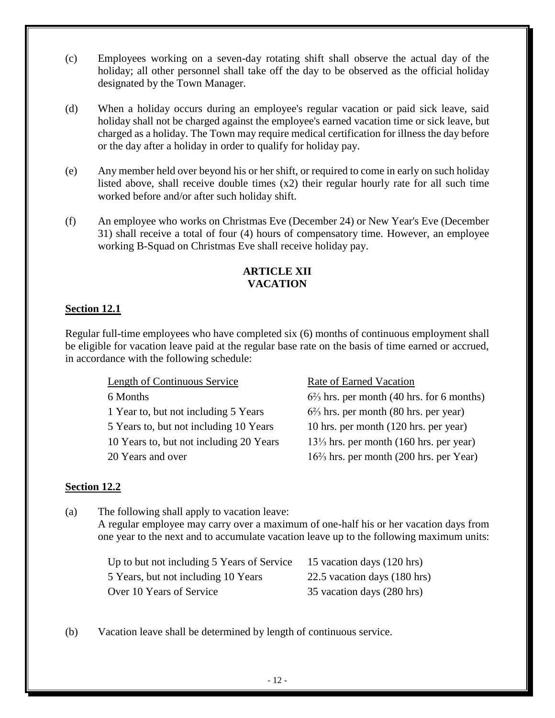- (c) Employees working on a seven-day rotating shift shall observe the actual day of the holiday; all other personnel shall take off the day to be observed as the official holiday designated by the Town Manager.
- (d) When a holiday occurs during an employee's regular vacation or paid sick leave, said holiday shall not be charged against the employee's earned vacation time or sick leave, but charged as a holiday. The Town may require medical certification for illness the day before or the day after a holiday in order to qualify for holiday pay.
- (e) Any member held over beyond his or her shift, or required to come in early on such holiday listed above, shall receive double times (x2) their regular hourly rate for all such time worked before and/or after such holiday shift.
- (f) An employee who works on Christmas Eve (December 24) or New Year's Eve (December 31) shall receive a total of four (4) hours of compensatory time. However, an employee working B-Squad on Christmas Eve shall receive holiday pay.

# **ARTICLE XII VACATION**

# **Section 12.1**

Regular full-time employees who have completed six (6) months of continuous employment shall be eligible for vacation leave paid at the regular base rate on the basis of time earned or accrued, in accordance with the following schedule:

> Length of Continuous Service Rate of Earned Vacation 6 Months 6 $^{2/3}$  hrs. per month (40 hrs. for 6 months) 1 Year to, but not including 5 Years 6<sup>2</sup>/<sub>3</sub> hrs. per month (80 hrs. per year) 5 Years to, but not including 10 Years 10 hrs. per month (120 hrs. per year) 10 Years to, but not including 20 Years 13⅓ hrs. per month (160 hrs. per year) 20 Years and over 16⅔ hrs. per month (200 hrs. per Year)

## **Section 12.2**

(a) The following shall apply to vacation leave: A regular employee may carry over a maximum of one-half his or her vacation days from one year to the next and to accumulate vacation leave up to the following maximum units:

| Up to but not including 5 Years of Service | 15 vacation days (120 hrs)   |
|--------------------------------------------|------------------------------|
| 5 Years, but not including 10 Years        | 22.5 vacation days (180 hrs) |
| Over 10 Years of Service                   | 35 vacation days (280 hrs)   |

(b) Vacation leave shall be determined by length of continuous service.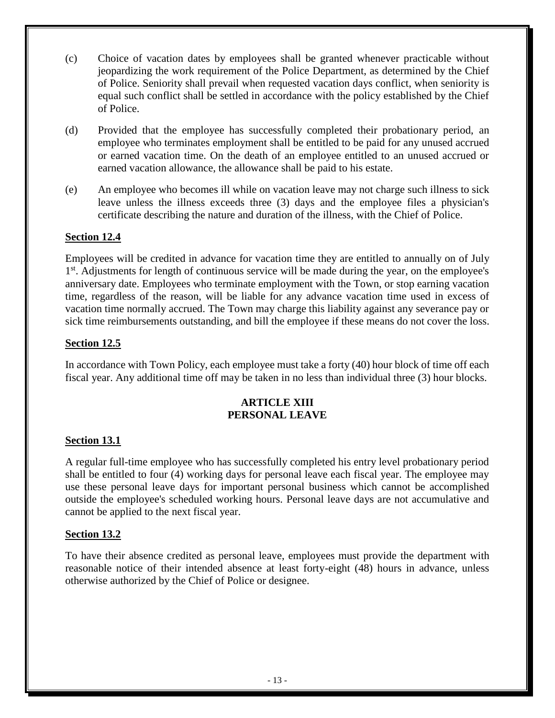- (c) Choice of vacation dates by employees shall be granted whenever practicable without jeopardizing the work requirement of the Police Department, as determined by the Chief of Police. Seniority shall prevail when requested vacation days conflict, when seniority is equal such conflict shall be settled in accordance with the policy established by the Chief of Police.
- (d) Provided that the employee has successfully completed their probationary period, an employee who terminates employment shall be entitled to be paid for any unused accrued or earned vacation time. On the death of an employee entitled to an unused accrued or earned vacation allowance, the allowance shall be paid to his estate.
- (e) An employee who becomes ill while on vacation leave may not charge such illness to sick leave unless the illness exceeds three (3) days and the employee files a physician's certificate describing the nature and duration of the illness, with the Chief of Police.

## **Section 12.4**

Employees will be credited in advance for vacation time they are entitled to annually on of July 1<sup>st</sup>. Adjustments for length of continuous service will be made during the year, on the employee's anniversary date. Employees who terminate employment with the Town, or stop earning vacation time, regardless of the reason, will be liable for any advance vacation time used in excess of vacation time normally accrued. The Town may charge this liability against any severance pay or sick time reimbursements outstanding, and bill the employee if these means do not cover the loss.

## **Section 12.5**

In accordance with Town Policy, each employee must take a forty (40) hour block of time off each fiscal year. Any additional time off may be taken in no less than individual three (3) hour blocks.

### **ARTICLE XIII PERSONAL LEAVE**

### **Section 13.1**

A regular full-time employee who has successfully completed his entry level probationary period shall be entitled to four (4) working days for personal leave each fiscal year. The employee may use these personal leave days for important personal business which cannot be accomplished outside the employee's scheduled working hours. Personal leave days are not accumulative and cannot be applied to the next fiscal year.

### **Section 13.2**

To have their absence credited as personal leave, employees must provide the department with reasonable notice of their intended absence at least forty-eight (48) hours in advance, unless otherwise authorized by the Chief of Police or designee.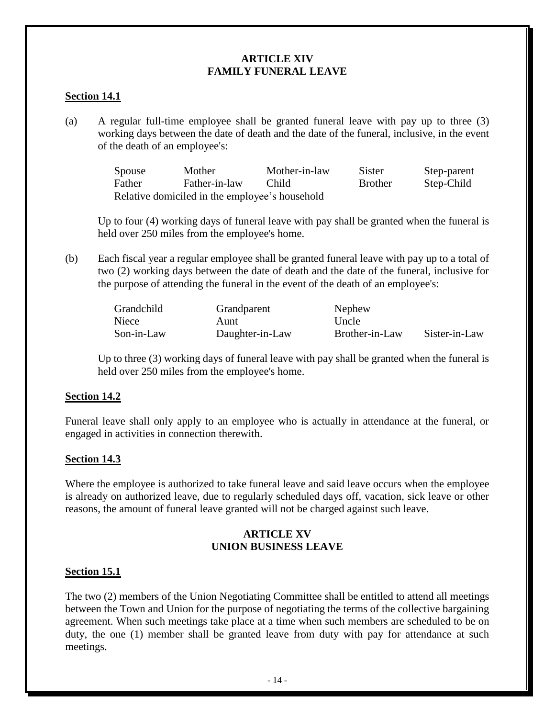### **ARTICLE XIV FAMILY FUNERAL LEAVE**

### **Section 14.1**

(a) A regular full-time employee shall be granted funeral leave with pay up to three (3) working days between the date of death and the date of the funeral, inclusive, in the event of the death of an employee's:

> Spouse Mother Mother-in-law Sister Step-parent Father Father-in-law Child Brother Step-Child Relative domiciled in the employee's household

Up to four (4) working days of funeral leave with pay shall be granted when the funeral is held over 250 miles from the employee's home.

(b) Each fiscal year a regular employee shall be granted funeral leave with pay up to a total of two (2) working days between the date of death and the date of the funeral, inclusive for the purpose of attending the funeral in the event of the death of an employee's:

| Grandchild | Grandparent     | Nephew         |               |
|------------|-----------------|----------------|---------------|
| Niece      | Aunt            | Uncle          |               |
| Son-in-Law | Daughter-in-Law | Brother-in-Law | Sister-in-Law |

Up to three (3) working days of funeral leave with pay shall be granted when the funeral is held over 250 miles from the employee's home.

### **Section 14.2**

Funeral leave shall only apply to an employee who is actually in attendance at the funeral, or engaged in activities in connection therewith.

### **Section 14.3**

Where the employee is authorized to take funeral leave and said leave occurs when the employee is already on authorized leave, due to regularly scheduled days off, vacation, sick leave or other reasons, the amount of funeral leave granted will not be charged against such leave.

## **ARTICLE XV UNION BUSINESS LEAVE**

### **Section 15.1**

The two (2) members of the Union Negotiating Committee shall be entitled to attend all meetings between the Town and Union for the purpose of negotiating the terms of the collective bargaining agreement. When such meetings take place at a time when such members are scheduled to be on duty, the one (1) member shall be granted leave from duty with pay for attendance at such meetings.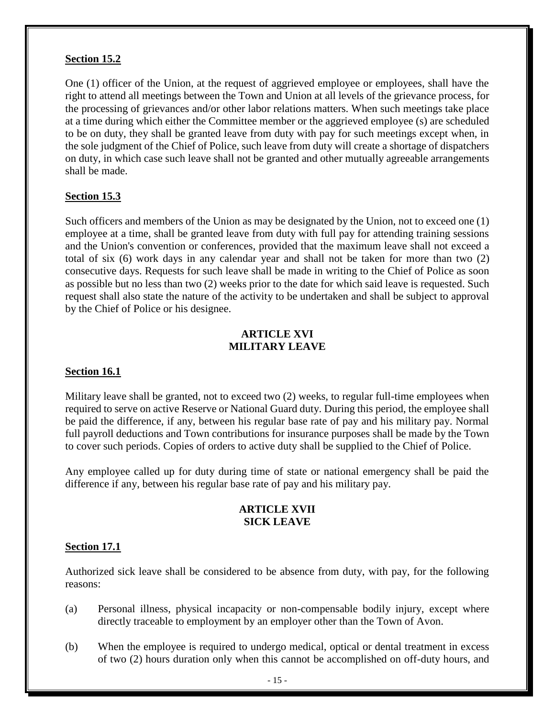### **Section 15.2**

One (1) officer of the Union, at the request of aggrieved employee or employees, shall have the right to attend all meetings between the Town and Union at all levels of the grievance process, for the processing of grievances and/or other labor relations matters. When such meetings take place at a time during which either the Committee member or the aggrieved employee (s) are scheduled to be on duty, they shall be granted leave from duty with pay for such meetings except when, in the sole judgment of the Chief of Police, such leave from duty will create a shortage of dispatchers on duty, in which case such leave shall not be granted and other mutually agreeable arrangements shall be made.

## **Section 15.3**

Such officers and members of the Union as may be designated by the Union, not to exceed one (1) employee at a time, shall be granted leave from duty with full pay for attending training sessions and the Union's convention or conferences, provided that the maximum leave shall not exceed a total of six (6) work days in any calendar year and shall not be taken for more than two (2) consecutive days. Requests for such leave shall be made in writing to the Chief of Police as soon as possible but no less than two (2) weeks prior to the date for which said leave is requested. Such request shall also state the nature of the activity to be undertaken and shall be subject to approval by the Chief of Police or his designee.

## **ARTICLE XVI MILITARY LEAVE**

### **Section 16.1**

Military leave shall be granted, not to exceed two (2) weeks, to regular full-time employees when required to serve on active Reserve or National Guard duty. During this period, the employee shall be paid the difference, if any, between his regular base rate of pay and his military pay. Normal full payroll deductions and Town contributions for insurance purposes shall be made by the Town to cover such periods. Copies of orders to active duty shall be supplied to the Chief of Police.

Any employee called up for duty during time of state or national emergency shall be paid the difference if any, between his regular base rate of pay and his military pay.

#### **ARTICLE XVII SICK LEAVE**

### **Section 17.1**

Authorized sick leave shall be considered to be absence from duty, with pay, for the following reasons:

- (a) Personal illness, physical incapacity or non-compensable bodily injury, except where directly traceable to employment by an employer other than the Town of Avon.
- (b) When the employee is required to undergo medical, optical or dental treatment in excess of two (2) hours duration only when this cannot be accomplished on off-duty hours, and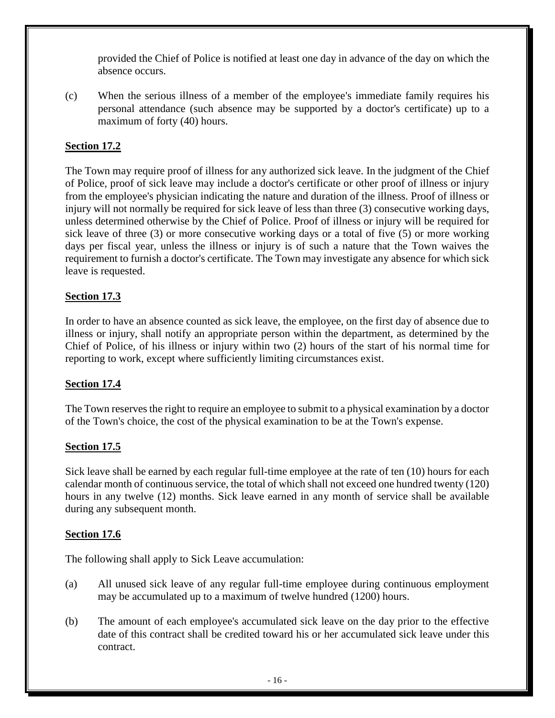provided the Chief of Police is notified at least one day in advance of the day on which the absence occurs.

(c) When the serious illness of a member of the employee's immediate family requires his personal attendance (such absence may be supported by a doctor's certificate) up to a maximum of forty (40) hours.

# **Section 17.2**

The Town may require proof of illness for any authorized sick leave. In the judgment of the Chief of Police, proof of sick leave may include a doctor's certificate or other proof of illness or injury from the employee's physician indicating the nature and duration of the illness. Proof of illness or injury will not normally be required for sick leave of less than three (3) consecutive working days, unless determined otherwise by the Chief of Police. Proof of illness or injury will be required for sick leave of three (3) or more consecutive working days or a total of five (5) or more working days per fiscal year, unless the illness or injury is of such a nature that the Town waives the requirement to furnish a doctor's certificate. The Town may investigate any absence for which sick leave is requested.

## **Section 17.3**

In order to have an absence counted as sick leave, the employee, on the first day of absence due to illness or injury, shall notify an appropriate person within the department, as determined by the Chief of Police, of his illness or injury within two (2) hours of the start of his normal time for reporting to work, except where sufficiently limiting circumstances exist.

## **Section 17.4**

The Town reserves the right to require an employee to submit to a physical examination by a doctor of the Town's choice, the cost of the physical examination to be at the Town's expense.

## **Section 17.5**

Sick leave shall be earned by each regular full-time employee at the rate of ten (10) hours for each calendar month of continuous service, the total of which shall not exceed one hundred twenty (120) hours in any twelve (12) months. Sick leave earned in any month of service shall be available during any subsequent month.

### **Section 17.6**

The following shall apply to Sick Leave accumulation:

- (a) All unused sick leave of any regular full-time employee during continuous employment may be accumulated up to a maximum of twelve hundred (1200) hours.
- (b) The amount of each employee's accumulated sick leave on the day prior to the effective date of this contract shall be credited toward his or her accumulated sick leave under this contract.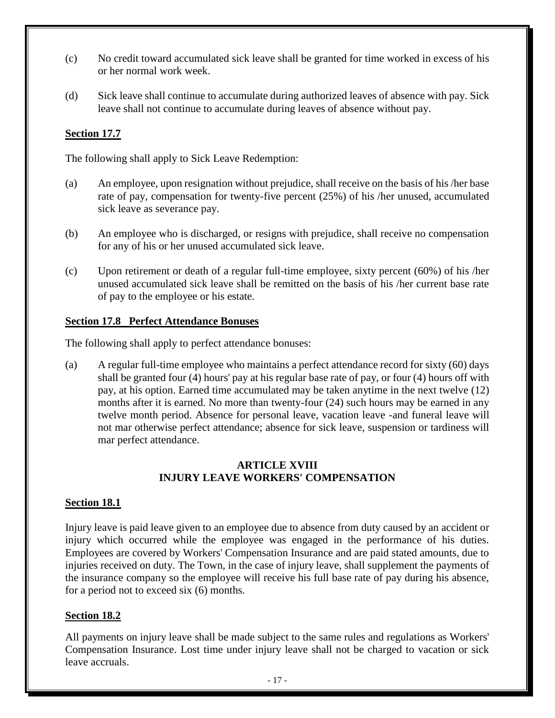- (c) No credit toward accumulated sick leave shall be granted for time worked in excess of his or her normal work week.
- (d) Sick leave shall continue to accumulate during authorized leaves of absence with pay. Sick leave shall not continue to accumulate during leaves of absence without pay.

## **Section 17.7**

The following shall apply to Sick Leave Redemption:

- (a) An employee, upon resignation without prejudice, shall receive on the basis of his /her base rate of pay, compensation for twenty-five percent (25%) of his /her unused, accumulated sick leave as severance pay.
- (b) An employee who is discharged, or resigns with prejudice, shall receive no compensation for any of his or her unused accumulated sick leave.
- (c) Upon retirement or death of a regular full-time employee, sixty percent (60%) of his /her unused accumulated sick leave shall be remitted on the basis of his /her current base rate of pay to the employee or his estate.

## **Section 17.8 Perfect Attendance Bonuses**

The following shall apply to perfect attendance bonuses:

(a) A regular full-time employee who maintains a perfect attendance record for sixty (60) days shall be granted four (4) hours' pay at his regular base rate of pay, or four (4) hours off with pay, at his option. Earned time accumulated may be taken anytime in the next twelve (12) months after it is earned. No more than twenty-four (24) such hours may be earned in any twelve month period. Absence for personal leave, vacation leave -and funeral leave will not mar otherwise perfect attendance; absence for sick leave, suspension or tardiness will mar perfect attendance.

### **ARTICLE XVIII INJURY LEAVE WORKERS' COMPENSATION**

## **Section 18.1**

Injury leave is paid leave given to an employee due to absence from duty caused by an accident or injury which occurred while the employee was engaged in the performance of his duties. Employees are covered by Workers' Compensation Insurance and are paid stated amounts, due to injuries received on duty. The Town, in the case of injury leave, shall supplement the payments of the insurance company so the employee will receive his full base rate of pay during his absence, for a period not to exceed six (6) months.

## **Section 18.2**

All payments on injury leave shall be made subject to the same rules and regulations as Workers' Compensation Insurance. Lost time under injury leave shall not be charged to vacation or sick leave accruals.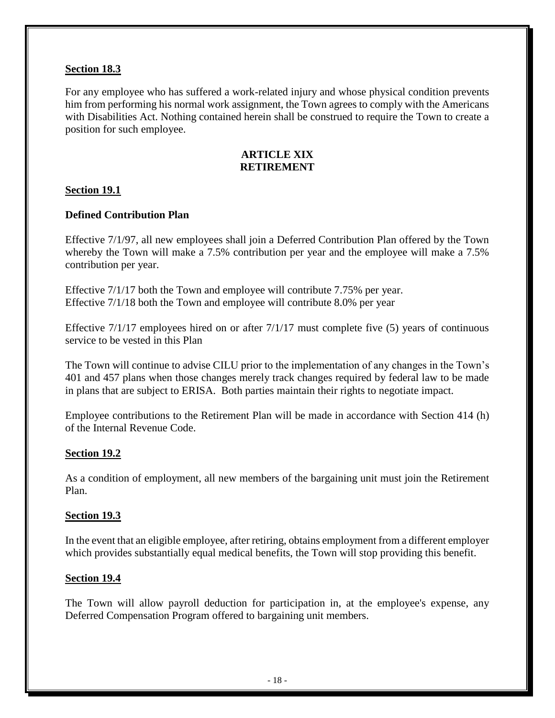## **Section 18.3**

For any employee who has suffered a work-related injury and whose physical condition prevents him from performing his normal work assignment, the Town agrees to comply with the Americans with Disabilities Act. Nothing contained herein shall be construed to require the Town to create a position for such employee.

### **ARTICLE XIX RETIREMENT**

## **Section 19.1**

## **Defined Contribution Plan**

Effective 7/1/97, all new employees shall join a Deferred Contribution Plan offered by the Town whereby the Town will make a 7.5% contribution per year and the employee will make a 7.5% contribution per year.

Effective 7/1/17 both the Town and employee will contribute 7.75% per year. Effective 7/1/18 both the Town and employee will contribute 8.0% per year

Effective 7/1/17 employees hired on or after 7/1/17 must complete five (5) years of continuous service to be vested in this Plan

The Town will continue to advise CILU prior to the implementation of any changes in the Town's 401 and 457 plans when those changes merely track changes required by federal law to be made in plans that are subject to ERISA. Both parties maintain their rights to negotiate impact.

Employee contributions to the Retirement Plan will be made in accordance with Section 414 (h) of the Internal Revenue Code.

### **Section 19.2**

As a condition of employment, all new members of the bargaining unit must join the Retirement Plan.

### **Section 19.3**

In the event that an eligible employee, after retiring, obtains employment from a different employer which provides substantially equal medical benefits, the Town will stop providing this benefit.

## **Section 19.4**

The Town will allow payroll deduction for participation in, at the employee's expense, any Deferred Compensation Program offered to bargaining unit members.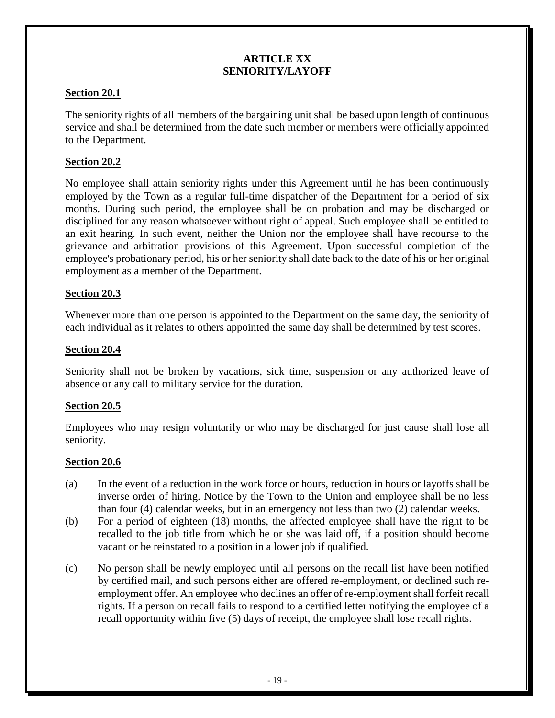### **ARTICLE XX SENIORITY/LAYOFF**

## **Section 20.1**

The seniority rights of all members of the bargaining unit shall be based upon length of continuous service and shall be determined from the date such member or members were officially appointed to the Department.

## **Section 20.2**

No employee shall attain seniority rights under this Agreement until he has been continuously employed by the Town as a regular full-time dispatcher of the Department for a period of six months. During such period, the employee shall be on probation and may be discharged or disciplined for any reason whatsoever without right of appeal. Such employee shall be entitled to an exit hearing. In such event, neither the Union nor the employee shall have recourse to the grievance and arbitration provisions of this Agreement. Upon successful completion of the employee's probationary period, his or her seniority shall date back to the date of his or her original employment as a member of the Department.

## **Section 20.3**

Whenever more than one person is appointed to the Department on the same day, the seniority of each individual as it relates to others appointed the same day shall be determined by test scores.

## **Section 20.4**

Seniority shall not be broken by vacations, sick time, suspension or any authorized leave of absence or any call to military service for the duration.

## **Section 20.5**

Employees who may resign voluntarily or who may be discharged for just cause shall lose all seniority.

## **Section 20.6**

- (a) In the event of a reduction in the work force or hours, reduction in hours or layoffs shall be inverse order of hiring. Notice by the Town to the Union and employee shall be no less than four (4) calendar weeks, but in an emergency not less than two (2) calendar weeks.
- (b) For a period of eighteen (18) months, the affected employee shall have the right to be recalled to the job title from which he or she was laid off, if a position should become vacant or be reinstated to a position in a lower job if qualified.
- (c) No person shall be newly employed until all persons on the recall list have been notified by certified mail, and such persons either are offered re-employment, or declined such reemployment offer. An employee who declines an offer of re-employment shall forfeit recall rights. If a person on recall fails to respond to a certified letter notifying the employee of a recall opportunity within five (5) days of receipt, the employee shall lose recall rights.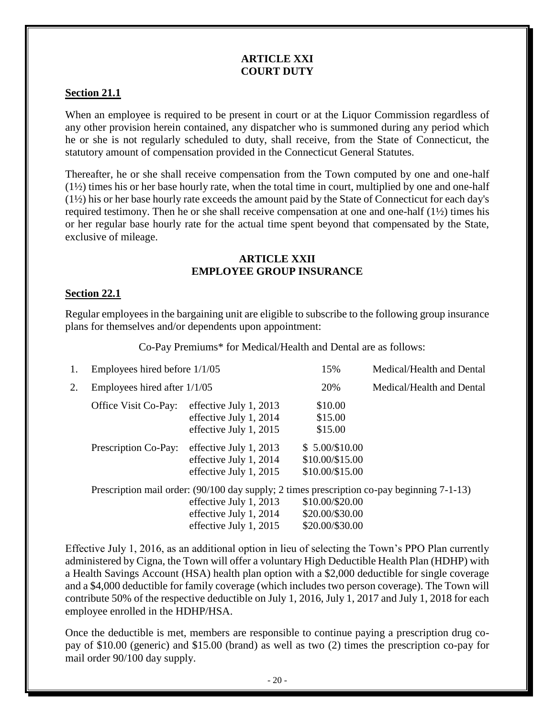### **ARTICLE XXI COURT DUTY**

## **Section 21.1**

When an employee is required to be present in court or at the Liquor Commission regardless of any other provision herein contained, any dispatcher who is summoned during any period which he or she is not regularly scheduled to duty, shall receive, from the State of Connecticut, the statutory amount of compensation provided in the Connecticut General Statutes.

Thereafter, he or she shall receive compensation from the Town computed by one and one-half  $(1\frac{1}{2})$  times his or her base hourly rate, when the total time in court, multiplied by one and one-half (1½) his or her base hourly rate exceeds the amount paid by the State of Connecticut for each day's required testimony. Then he or she shall receive compensation at one and one-half (1½) times his or her regular base hourly rate for the actual time spent beyond that compensated by the State, exclusive of mileage.

#### **ARTICLE XXII EMPLOYEE GROUP INSURANCE**

## **Section 22.1**

Regular employees in the bargaining unit are eligible to subscribe to the following group insurance plans for themselves and/or dependents upon appointment:

Co-Pay Premiums\* for Medical/Health and Dental are as follows:

| 1. | Employees hired before 1/1/05 |                                                                                                                                                                          | 15%                                                   | Medical/Health and Dental |
|----|-------------------------------|--------------------------------------------------------------------------------------------------------------------------------------------------------------------------|-------------------------------------------------------|---------------------------|
| 2. | Employees hired after 1/1/05  |                                                                                                                                                                          | 20%                                                   | Medical/Health and Dental |
|    | Office Visit Co-Pay:          | effective July 1, 2013<br>effective July 1, 2014<br>effective July 1, 2015                                                                                               | \$10.00<br>\$15.00<br>\$15.00                         |                           |
|    | Prescription Co-Pay:          | effective July 1, 2013<br>effective July 1, 2014<br>effective July 1, 2015                                                                                               | $$5.00/\$10.00$<br>\$10.00/\$15.00<br>\$10.00/\$15.00 |                           |
|    |                               | Prescription mail order: (90/100 day supply; 2 times prescription co-pay beginning 7-1-13)<br>effective July 1, 2013<br>effective July 1, 2014<br>effective July 1, 2015 | \$10.00/\$20.00<br>\$20.00/\$30.00<br>\$20.00/\$30.00 |                           |

Effective July 1, 2016, as an additional option in lieu of selecting the Town's PPO Plan currently administered by Cigna, the Town will offer a voluntary High Deductible Health Plan (HDHP) with a Health Savings Account (HSA) health plan option with a \$2,000 deductible for single coverage and a \$4,000 deductible for family coverage (which includes two person coverage). The Town will contribute 50% of the respective deductible on July 1, 2016, July 1, 2017 and July 1, 2018 for each employee enrolled in the HDHP/HSA.

Once the deductible is met, members are responsible to continue paying a prescription drug copay of \$10.00 (generic) and \$15.00 (brand) as well as two (2) times the prescription co-pay for mail order 90/100 day supply.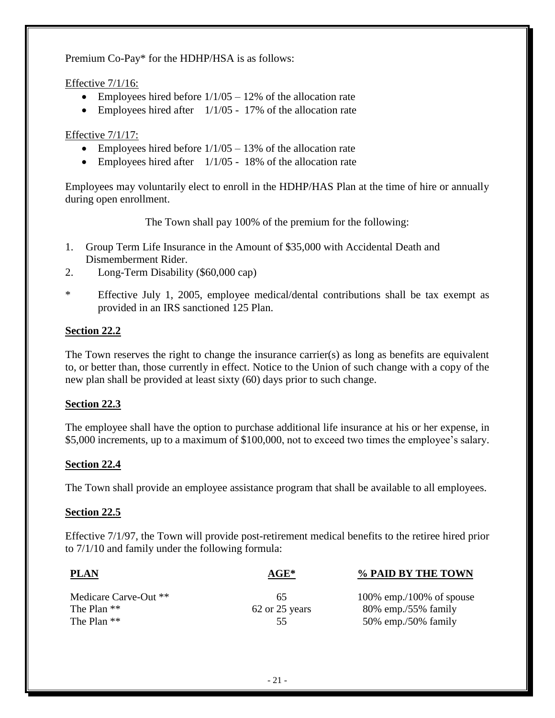Premium Co-Pay\* for the HDHP/HSA is as follows:

## Effective 7/1/16:

- Employees hired before  $1/1/05 12%$  of the allocation rate
- Employees hired after  $1/1/05 17%$  of the allocation rate

## Effective 7/1/17:

- Employees hired before  $1/1/05 13%$  of the allocation rate
- Employees hired after  $1/1/05 18%$  of the allocation rate

Employees may voluntarily elect to enroll in the HDHP/HAS Plan at the time of hire or annually during open enrollment.

The Town shall pay 100% of the premium for the following:

- 1. Group Term Life Insurance in the Amount of \$35,000 with Accidental Death and Dismemberment Rider.
- 2. Long-Term Disability (\$60,000 cap)
- \* Effective July 1, 2005, employee medical/dental contributions shall be tax exempt as provided in an IRS sanctioned 125 Plan.

## **Section 22.2**

The Town reserves the right to change the insurance carrier(s) as long as benefits are equivalent to, or better than, those currently in effect. Notice to the Union of such change with a copy of the new plan shall be provided at least sixty (60) days prior to such change.

## **Section 22.3**

The employee shall have the option to purchase additional life insurance at his or her expense, in \$5,000 increments, up to a maximum of \$100,000, not to exceed two times the employee's salary.

## **Section 22.4**

The Town shall provide an employee assistance program that shall be available to all employees.

### **Section 22.5**

Effective 7/1/97, the Town will provide post-retirement medical benefits to the retiree hired prior to 7/1/10 and family under the following formula:

| <b>PLAN</b>           | $AGE*$         | % PAID BY THE TOWN       |  |  |
|-----------------------|----------------|--------------------------|--|--|
| Medicare Carve-Out ** | 65             | 100% emp./100% of spouse |  |  |
| The Plan $**$         | 62 or 25 years | $80\%$ emp./55% family   |  |  |
| The Plan $**$         | 55.            | 50% emp./50% family      |  |  |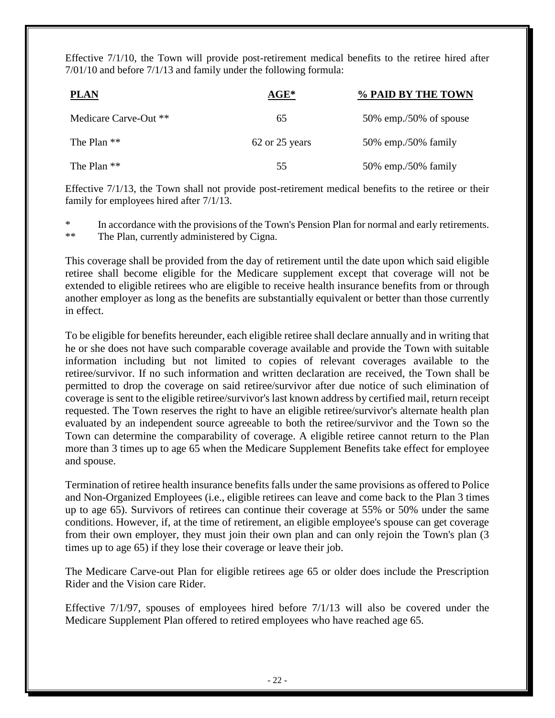Effective 7/1/10, the Town will provide post-retirement medical benefits to the retiree hired after 7/01/10 and before 7/1/13 and family under the following formula:

| <b>PLAN</b>           | $AGE*$         | % PAID BY THE TOWN        |
|-----------------------|----------------|---------------------------|
| Medicare Carve-Out ** | 65             | $50\%$ emp./50% of spouse |
| The Plan $**$         | 62 or 25 years | 50% emp./50% family       |
| The Plan $**$         | 55             | 50% emp./50% family       |

Effective 7/1/13, the Town shall not provide post-retirement medical benefits to the retiree or their family for employees hired after 7/1/13.

\* In accordance with the provisions of the Town's Pension Plan for normal and early retirements. \*\* The Plan, currently administered by Cigna.

This coverage shall be provided from the day of retirement until the date upon which said eligible retiree shall become eligible for the Medicare supplement except that coverage will not be extended to eligible retirees who are eligible to receive health insurance benefits from or through another employer as long as the benefits are substantially equivalent or better than those currently in effect.

To be eligible for benefits hereunder, each eligible retiree shall declare annually and in writing that he or she does not have such comparable coverage available and provide the Town with suitable information including but not limited to copies of relevant coverages available to the retiree/survivor. If no such information and written declaration are received, the Town shall be permitted to drop the coverage on said retiree/survivor after due notice of such elimination of coverage is sent to the eligible retiree/survivor's last known address by certified mail, return receipt requested. The Town reserves the right to have an eligible retiree/survivor's alternate health plan evaluated by an independent source agreeable to both the retiree/survivor and the Town so the Town can determine the comparability of coverage. A eligible retiree cannot return to the Plan more than 3 times up to age 65 when the Medicare Supplement Benefits take effect for employee and spouse.

Termination of retiree health insurance benefits falls under the same provisions as offered to Police and Non-Organized Employees (i.e., eligible retirees can leave and come back to the Plan 3 times up to age 65). Survivors of retirees can continue their coverage at 55% or 50% under the same conditions. However, if, at the time of retirement, an eligible employee's spouse can get coverage from their own employer, they must join their own plan and can only rejoin the Town's plan (3 times up to age 65) if they lose their coverage or leave their job.

The Medicare Carve-out Plan for eligible retirees age 65 or older does include the Prescription Rider and the Vision care Rider.

Effective 7/1/97, spouses of employees hired before 7/1/13 will also be covered under the Medicare Supplement Plan offered to retired employees who have reached age 65.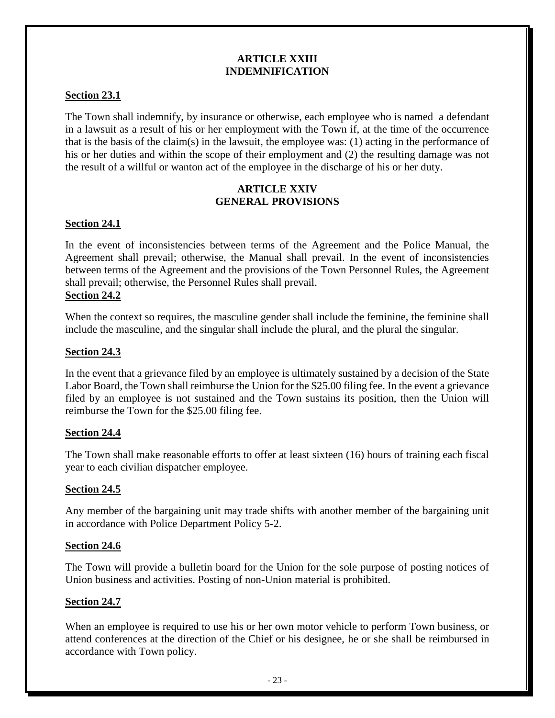### **ARTICLE XXIII INDEMNIFICATION**

## **Section 23.1**

The Town shall indemnify, by insurance or otherwise, each employee who is named a defendant in a lawsuit as a result of his or her employment with the Town if, at the time of the occurrence that is the basis of the claim(s) in the lawsuit, the employee was: (1) acting in the performance of his or her duties and within the scope of their employment and (2) the resulting damage was not the result of a willful or wanton act of the employee in the discharge of his or her duty.

## **ARTICLE XXIV GENERAL PROVISIONS**

## **Section 24.1**

In the event of inconsistencies between terms of the Agreement and the Police Manual, the Agreement shall prevail; otherwise, the Manual shall prevail. In the event of inconsistencies between terms of the Agreement and the provisions of the Town Personnel Rules, the Agreement shall prevail; otherwise, the Personnel Rules shall prevail.

## **Section 24.2**

When the context so requires, the masculine gender shall include the feminine, the feminine shall include the masculine, and the singular shall include the plural, and the plural the singular.

### **Section 24.3**

In the event that a grievance filed by an employee is ultimately sustained by a decision of the State Labor Board, the Town shall reimburse the Union for the \$25.00 filing fee. In the event a grievance filed by an employee is not sustained and the Town sustains its position, then the Union will reimburse the Town for the \$25.00 filing fee.

### **Section 24.4**

The Town shall make reasonable efforts to offer at least sixteen (16) hours of training each fiscal year to each civilian dispatcher employee.

### **Section 24.5**

Any member of the bargaining unit may trade shifts with another member of the bargaining unit in accordance with Police Department Policy 5-2.

### **Section 24.6**

The Town will provide a bulletin board for the Union for the sole purpose of posting notices of Union business and activities. Posting of non-Union material is prohibited.

### **Section 24.7**

When an employee is required to use his or her own motor vehicle to perform Town business, or attend conferences at the direction of the Chief or his designee, he or she shall be reimbursed in accordance with Town policy.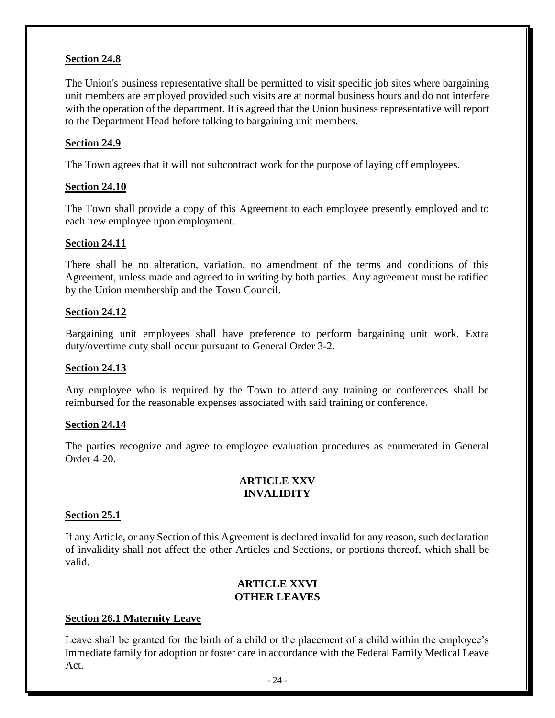## **Section 24.8**

The Union's business representative shall be permitted to visit specific job sites where bargaining unit members are employed provided such visits are at normal business hours and do not interfere with the operation of the department. It is agreed that the Union business representative will report to the Department Head before talking to bargaining unit members.

## **Section 24.9**

The Town agrees that it will not subcontract work for the purpose of laying off employees.

## **Section 24.10**

The Town shall provide a copy of this Agreement to each employee presently employed and to each new employee upon employment.

### **Section 24.11**

There shall be no alteration, variation, no amendment of the terms and conditions of this Agreement, unless made and agreed to in writing by both parties. Any agreement must be ratified by the Union membership and the Town Council.

## **Section 24.12**

Bargaining unit employees shall have preference to perform bargaining unit work. Extra duty/overtime duty shall occur pursuant to General Order 3-2.

### **Section 24.13**

Any employee who is required by the Town to attend any training or conferences shall be reimbursed for the reasonable expenses associated with said training or conference.

### **Section 24.14**

The parties recognize and agree to employee evaluation procedures as enumerated in General Order 4-20.

## **ARTICLE XXV INVALIDITY**

### **Section 25.1**

If any Article, or any Section of this Agreement is declared invalid for any reason, such declaration of invalidity shall not affect the other Articles and Sections, or portions thereof, which shall be valid.

## **ARTICLE XXVI OTHER LEAVES**

## **Section 26.1 Maternity Leave**

Leave shall be granted for the birth of a child or the placement of a child within the employee's immediate family for adoption or foster care in accordance with the Federal Family Medical Leave Act.

- 24 -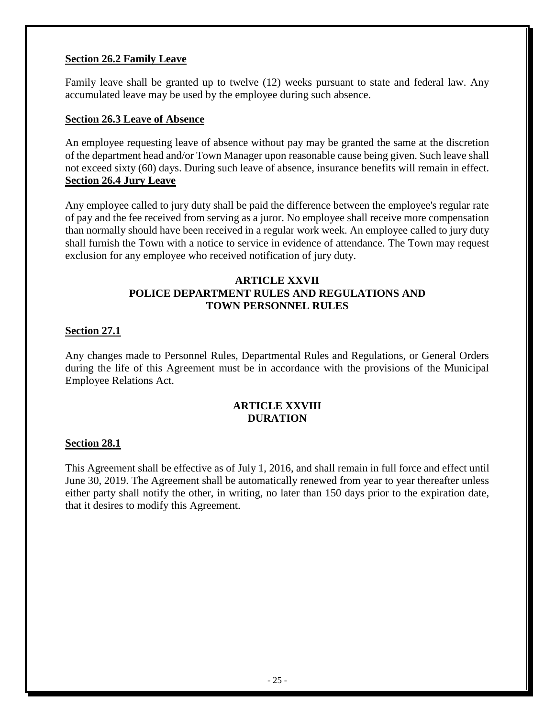### **Section 26.2 Family Leave**

Family leave shall be granted up to twelve (12) weeks pursuant to state and federal law. Any accumulated leave may be used by the employee during such absence.

#### **Section 26.3 Leave of Absence**

An employee requesting leave of absence without pay may be granted the same at the discretion of the department head and/or Town Manager upon reasonable cause being given. Such leave shall not exceed sixty (60) days. During such leave of absence, insurance benefits will remain in effect. **Section 26.4 Jury Leave** 

Any employee called to jury duty shall be paid the difference between the employee's regular rate of pay and the fee received from serving as a juror. No employee shall receive more compensation than normally should have been received in a regular work week. An employee called to jury duty shall furnish the Town with a notice to service in evidence of attendance. The Town may request exclusion for any employee who received notification of jury duty.

## **ARTICLE XXVII POLICE DEPARTMENT RULES AND REGULATIONS AND TOWN PERSONNEL RULES**

### **Section 27.1**

Any changes made to Personnel Rules, Departmental Rules and Regulations, or General Orders during the life of this Agreement must be in accordance with the provisions of the Municipal Employee Relations Act.

## **ARTICLE XXVIII DURATION**

### **Section 28.1**

This Agreement shall be effective as of July 1, 2016, and shall remain in full force and effect until June 30, 2019. The Agreement shall be automatically renewed from year to year thereafter unless either party shall notify the other, in writing, no later than 150 days prior to the expiration date, that it desires to modify this Agreement.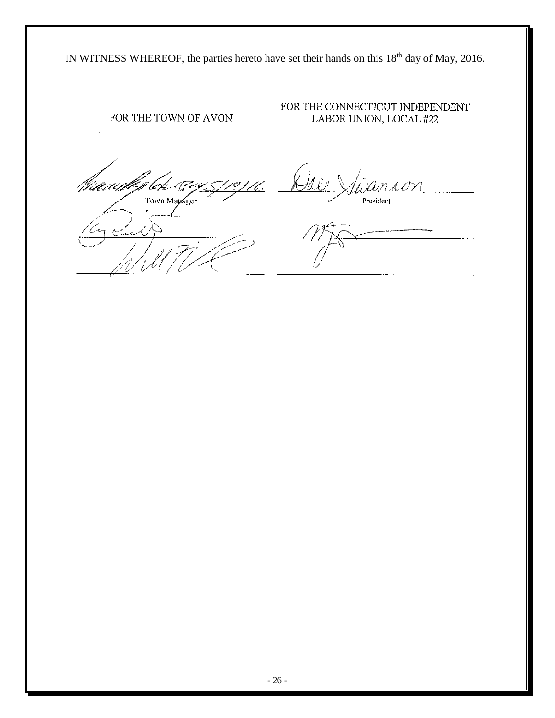IN WITNESS WHEREOF, the parties hereto have set their hands on this 18<sup>th</sup> day of May, 2016.

# FOR THE TOWN OF AVON

FOR THE CONNECTICUT INDEPENDENT LABOR UNION, LOCAL #22

leh 17 5/18/16 Naaach Town Manager

<u>hisa</u> President